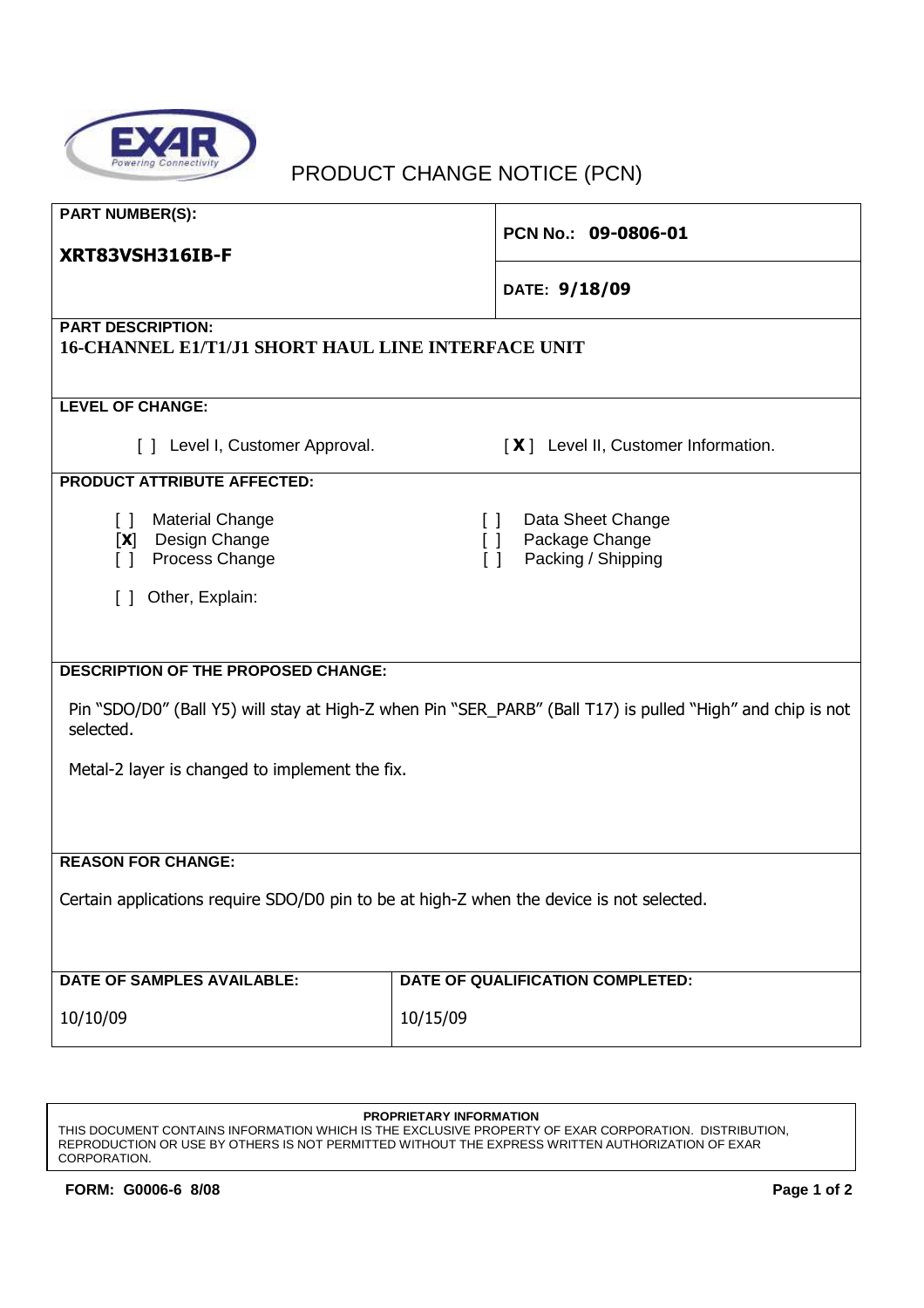

## PRODUCT CHANGE NOTICE (PCN)

| <b>PART NUMBER(S):</b><br>XRT83VSH316IB-F                                                                               | PCN No.: 09-0806-01                                                                  |  |
|-------------------------------------------------------------------------------------------------------------------------|--------------------------------------------------------------------------------------|--|
|                                                                                                                         | DATE: 9/18/09                                                                        |  |
| <b>PART DESCRIPTION:</b><br>16-CHANNEL E1/T1/J1 SHORT HAUL LINE INTERFACE UNIT                                          |                                                                                      |  |
| <b>LEVEL OF CHANGE:</b>                                                                                                 |                                                                                      |  |
| [ ] Level I, Customer Approval.                                                                                         | [X] Level II, Customer Information.                                                  |  |
| <b>PRODUCT ATTRIBUTE AFFECTED:</b>                                                                                      |                                                                                      |  |
| <b>Material Change</b><br>$\Box$<br>Design Change<br>[X]<br>Process Change<br>$\lceil$ 1                                | Data Sheet Change<br>$\Box$<br>Package Change<br>II.<br>Packing / Shipping<br>$\Box$ |  |
| Other, Explain:<br>$\Box$                                                                                               |                                                                                      |  |
|                                                                                                                         |                                                                                      |  |
| <b>DESCRIPTION OF THE PROPOSED CHANGE:</b>                                                                              |                                                                                      |  |
| Pin "SDO/D0" (Ball Y5) will stay at High-Z when Pin "SER_PARB" (Ball T17) is pulled "High" and chip is not<br>selected. |                                                                                      |  |
| Metal-2 layer is changed to implement the fix.                                                                          |                                                                                      |  |
|                                                                                                                         |                                                                                      |  |
| <b>REASON FOR CHANGE:</b>                                                                                               |                                                                                      |  |
| Certain applications require SDO/D0 pin to be at high-Z when the device is not selected.                                |                                                                                      |  |
| <b>DATE OF SAMPLES AVAILABLE:</b>                                                                                       | DATE OF QUALIFICATION COMPLETED:                                                     |  |
| 10/10/09                                                                                                                | 10/15/09                                                                             |  |

## **PROPRIETARY INFORMATION**

THIS DOCUMENT CONTAINS INFORMATION WHICH IS THE EXCLUSIVE PROPERTY OF EXAR CORPORATION. DISTRIBUTION, REPRODUCTION OR USE BY OTHERS IS NOT PERMITTED WITHOUT THE EXPRESS WRITTEN AUTHORIZATION OF EXAR CORPORATION.